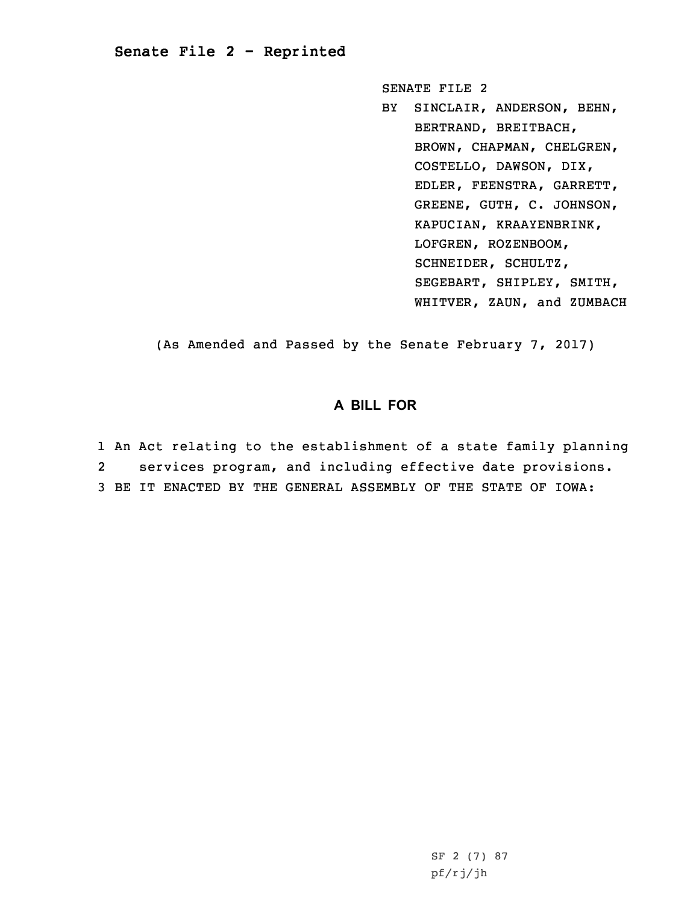## **Senate File 2 - Reprinted**

SENATE FILE 2

BY SINCLAIR, ANDERSON, BEHN, BERTRAND, BREITBACH, BROWN, CHAPMAN, CHELGREN, COSTELLO, DAWSON, DIX, EDLER, FEENSTRA, GARRETT, GREENE, GUTH, C. JOHNSON, KAPUCIAN, KRAAYENBRINK, LOFGREN, ROZENBOOM, SCHNEIDER, SCHULTZ, SEGEBART, SHIPLEY, SMITH, WHITVER, ZAUN, and ZUMBACH

(As Amended and Passed by the Senate February 7, 2017)

## **A BILL FOR**

1 An Act relating to the establishment of <sup>a</sup> state family planning 2 services program, and including effective date provisions. 3 BE IT ENACTED BY THE GENERAL ASSEMBLY OF THE STATE OF IOWA: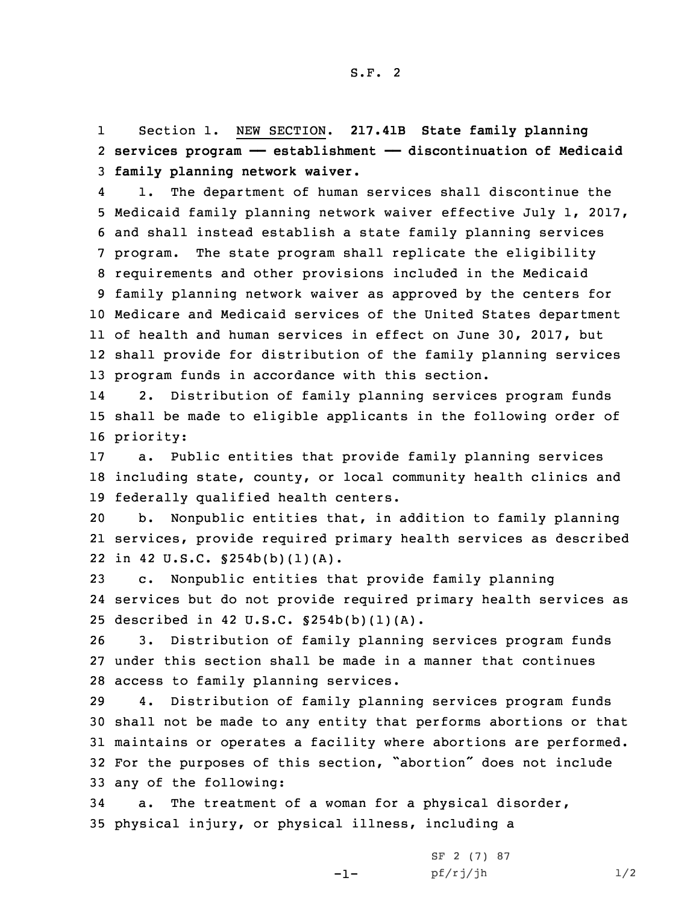1 Section 1. NEW SECTION. **217.41B State family planning** 2 **services program —— establishment —— discontinuation of Medicaid** 3 **family planning network waiver.**

4 1. The department of human services shall discontinue the Medicaid family planning network waiver effective July 1, 2017, and shall instead establish <sup>a</sup> state family planning services program. The state program shall replicate the eligibility requirements and other provisions included in the Medicaid family planning network waiver as approved by the centers for Medicare and Medicaid services of the United States department of health and human services in effect on June 30, 2017, but shall provide for distribution of the family planning services program funds in accordance with this section.

14 2. Distribution of family planning services program funds 15 shall be made to eligible applicants in the following order of 16 priority:

17 a. Public entities that provide family planning services 18 including state, county, or local community health clinics and 19 federally qualified health centers.

20 b. Nonpublic entities that, in addition to family planning 21 services, provide required primary health services as described 22 in 42 U.S.C. §254b(b)(1)(A).

23 c. Nonpublic entities that provide family planning 24 services but do not provide required primary health services as 25 described in 42 U.S.C. §254b(b)(1)(A).

26 3. Distribution of family planning services program funds 27 under this section shall be made in <sup>a</sup> manner that continues 28 access to family planning services.

 4. Distribution of family planning services program funds shall not be made to any entity that performs abortions or that maintains or operates <sup>a</sup> facility where abortions are performed. For the purposes of this section, "abortion" does not include any of the following:

34 a. The treatment of <sup>a</sup> woman for <sup>a</sup> physical disorder, 35 physical injury, or physical illness, including <sup>a</sup>

-1-

| SF 2 (7) 87 |     |
|-------------|-----|
| pf/rj/jh    | 1/2 |